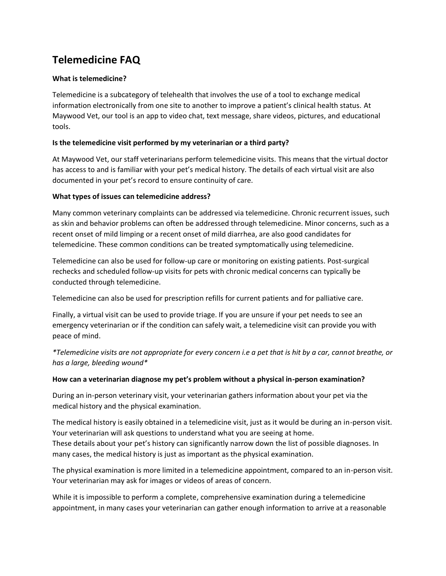# **Telemedicine FAQ**

## **What is telemedicine?**

Telemedicine is a subcategory of telehealth that involves the use of a tool to exchange medical information electronically from one site to another to improve a patient's clinical health status. At Maywood Vet, our tool is an app to video chat, text message, share videos, pictures, and educational tools.

## **Is the telemedicine visit performed by my veterinarian or a third party?**

At Maywood Vet, our staff veterinarians perform telemedicine visits. This means that the virtual doctor has access to and is familiar with your pet's medical history. The details of each virtual visit are also documented in your pet's record to ensure continuity of care.

## **What types of issues can telemedicine address?**

Many common veterinary complaints can be addressed via telemedicine. Chronic recurrent issues, such as skin and behavior problems can often be addressed through telemedicine. Minor concerns, such as a recent onset of mild limping or a recent onset of mild diarrhea, are also good candidates for telemedicine. These common conditions can be treated symptomatically using telemedicine.

Telemedicine can also be used for follow-up care or monitoring on existing patients. Post-surgical rechecks and scheduled follow-up visits for pets with chronic medical concerns can typically be conducted through telemedicine.

Telemedicine can also be used for prescription refills for current patients and for palliative care.

Finally, a virtual visit can be used to provide triage. If you are unsure if your pet needs to see an emergency veterinarian or if the condition can safely wait, a telemedicine visit can provide you with peace of mind.

*\*Telemedicine visits are not appropriate for every concern i.e a pet that is hit by a car, cannot breathe, or has a large, bleeding wound\**

#### **How can a veterinarian diagnose my pet's problem without a physical in-person examination?**

During an in-person veterinary visit, your veterinarian gathers information about your pet via the medical history and the physical examination.

The medical history is easily obtained in a telemedicine visit, just as it would be during an in-person visit. Your veterinarian will ask questions to understand what you are seeing at home. These details about your pet's history can significantly narrow down the list of possible diagnoses. In many cases, the medical history is just as important as the physical examination.

The physical examination is more limited in a telemedicine appointment, compared to an in-person visit. Your veterinarian may ask for images or videos of areas of concern.

While it is impossible to perform a complete, comprehensive examination during a telemedicine appointment, in many cases your veterinarian can gather enough information to arrive at a reasonable